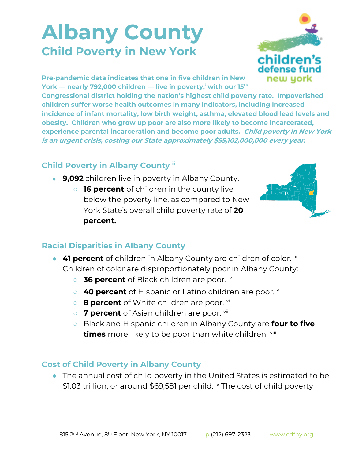## **Albany County Child Poverty in New York**



**Pre-pandemic data indicates that one in five children in New York — nearly 792,000 children — live in poverty,<sup>i</sup> with our 15th**

**Congressional district holding the nation's highest child poverty rate. Impoverished children suffer worse health outcomes in many indicators, including increased incidence of infant mortality, low birth weight, asthma, elevated blood lead levels and obesity. Children who grow up poor are also more likely to become incarcerated, experience parental incarceration and become poor adults. Child poverty in New York is an urgent crisis, costing our State approximately \$55,102,000,000 every year.**

## **Child Poverty in Albany County ii**

- **9,092** children live in poverty in Albany County.
	- **16 percent** of children in the county live below the poverty line, as compared to New York State's overall child poverty rate of **20 percent.**



## **Racial Disparities in Albany County**

- **41 percent** of children in Albany County are children of color. iii Children of color are disproportionately poor in Albany County:
	- **36 percent** of Black children are poor. iv
	- **40 percent** of Hispanic or Latino children are poor. **v**
	- **8 percent** of White children are poor. <sup>vi</sup>
	- 7 **percent** of Asian children are poor. <sup>vii</sup>
	- Black and Hispanic children in Albany County are **four to five times** more likely to be poor than white children. viii

## **Cost of Child Poverty in Albany County**

● The annual cost of child poverty in the United States is estimated to be \$1.03 trillion, or around \$69,581 per child. <sup>ix</sup> The cost of child poverty